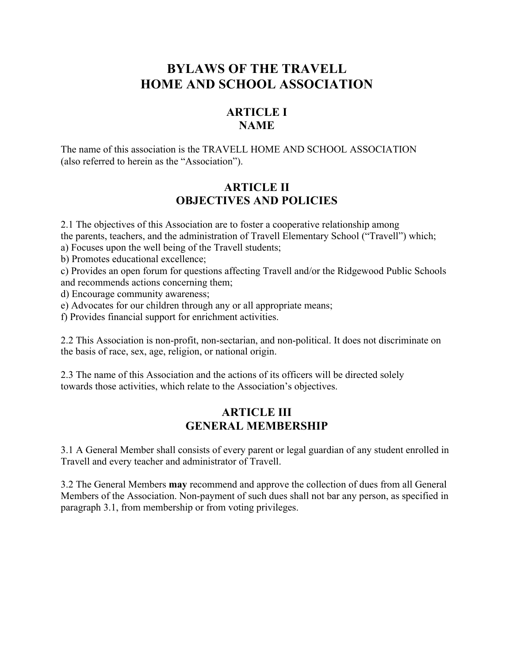# **BYLAWS OF THE TRAVELL HOME AND SCHOOL ASSOCIATION**

# **ARTICLE I NAME**

The name of this association is the TRAVELL HOME AND SCHOOL ASSOCIATION (also referred to herein as the "Association").

### **ARTICLE II OBJECTIVES AND POLICIES**

2.1 The objectives of this Association are to foster a cooperative relationship among the parents, teachers, and the administration of Travell Elementary School ("Travell") which;

a) Focuses upon the well being of the Travell students;

b) Promotes educational excellence;

c) Provides an open forum for questions affecting Travell and/or the Ridgewood Public Schools and recommends actions concerning them;

d) Encourage community awareness;

e) Advocates for our children through any or all appropriate means;

f) Provides financial support for enrichment activities.

2.2 This Association is non-profit, non-sectarian, and non-political. It does not discriminate on the basis of race, sex, age, religion, or national origin.

2.3 The name of this Association and the actions of its officers will be directed solely towards those activities, which relate to the Association's objectives.

#### **ARTICLE III GENERAL MEMBERSHIP**

3.1 A General Member shall consists of every parent or legal guardian of any student enrolled in Travell and every teacher and administrator of Travell.

3.2 The General Members **may** recommend and approve the collection of dues from all General Members of the Association. Non-payment of such dues shall not bar any person, as specified in paragraph 3.1, from membership or from voting privileges.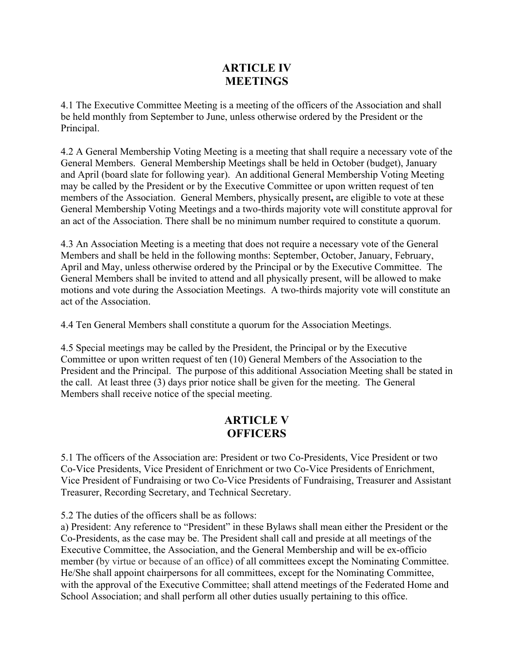### **ARTICLE IV MEETINGS**

4.1 The Executive Committee Meeting is a meeting of the officers of the Association and shall be held monthly from September to June, unless otherwise ordered by the President or the Principal.

4.2 A General Membership Voting Meeting is a meeting that shall require a necessary vote of the General Members. General Membership Meetings shall be held in October (budget), January and April (board slate for following year). An additional General Membership Voting Meeting may be called by the President or by the Executive Committee or upon written request of ten members of the Association. General Members, physically present**,** are eligible to vote at these General Membership Voting Meetings and a two-thirds majority vote will constitute approval for an act of the Association. There shall be no minimum number required to constitute a quorum.

4.3 An Association Meeting is a meeting that does not require a necessary vote of the General Members and shall be held in the following months: September, October, January, February, April and May, unless otherwise ordered by the Principal or by the Executive Committee. The General Members shall be invited to attend and all physically present, will be allowed to make motions and vote during the Association Meetings. A two-thirds majority vote will constitute an act of the Association.

4.4 Ten General Members shall constitute a quorum for the Association Meetings.

4.5 Special meetings may be called by the President, the Principal or by the Executive Committee or upon written request of ten (10) General Members of the Association to the President and the Principal. The purpose of this additional Association Meeting shall be stated in the call. At least three (3) days prior notice shall be given for the meeting. The General Members shall receive notice of the special meeting.

### **ARTICLE V OFFICERS**

5.1 The officers of the Association are: President or two Co-Presidents, Vice President or two Co-Vice Presidents, Vice President of Enrichment or two Co-Vice Presidents of Enrichment, Vice President of Fundraising or two Co-Vice Presidents of Fundraising, Treasurer and Assistant Treasurer, Recording Secretary, and Technical Secretary.

5.2 The duties of the officers shall be as follows:

a) President: Any reference to "President" in these Bylaws shall mean either the President or the Co-Presidents, as the case may be. The President shall call and preside at all meetings of the Executive Committee, the Association, and the General Membership and will be ex-officio member (by virtue or because of an office) of all committees except the Nominating Committee. He/She shall appoint chairpersons for all committees, except for the Nominating Committee, with the approval of the Executive Committee; shall attend meetings of the Federated Home and School Association; and shall perform all other duties usually pertaining to this office.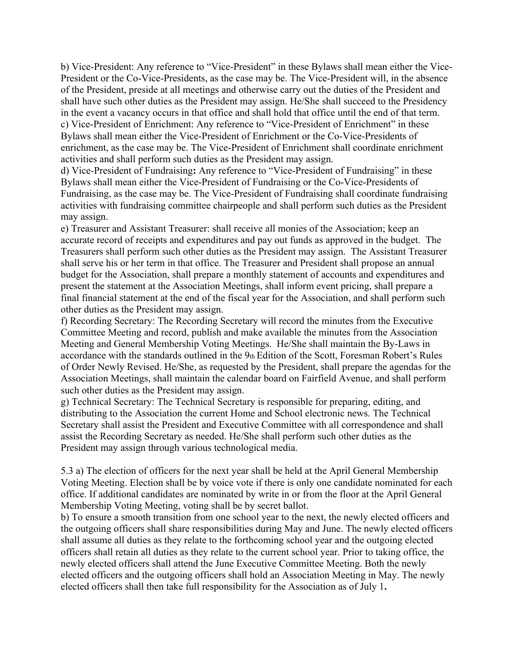b) Vice-President: Any reference to "Vice-President" in these Bylaws shall mean either the Vice-President or the Co-Vice-Presidents, as the case may be. The Vice-President will, in the absence of the President, preside at all meetings and otherwise carry out the duties of the President and shall have such other duties as the President may assign. He/She shall succeed to the Presidency in the event a vacancy occurs in that office and shall hold that office until the end of that term. c) Vice-President of Enrichment: Any reference to "Vice-President of Enrichment" in these Bylaws shall mean either the Vice-President of Enrichment or the Co-Vice-Presidents of enrichment, as the case may be. The Vice-President of Enrichment shall coordinate enrichment activities and shall perform such duties as the President may assign.

d) Vice-President of Fundraising**:** Any reference to "Vice-President of Fundraising" in these Bylaws shall mean either the Vice-President of Fundraising or the Co-Vice-Presidents of Fundraising, as the case may be. The Vice-President of Fundraising shall coordinate fundraising activities with fundraising committee chairpeople and shall perform such duties as the President may assign.

e) Treasurer and Assistant Treasurer: shall receive all monies of the Association; keep an accurate record of receipts and expenditures and pay out funds as approved in the budget. The Treasurers shall perform such other duties as the President may assign. The Assistant Treasurer shall serve his or her term in that office. The Treasurer and President shall propose an annual budget for the Association, shall prepare a monthly statement of accounts and expenditures and present the statement at the Association Meetings, shall inform event pricing, shall prepare a final financial statement at the end of the fiscal year for the Association, and shall perform such other duties as the President may assign.

f) Recording Secretary: The Recording Secretary will record the minutes from the Executive Committee Meeting and record, publish and make available the minutes from the Association Meeting and General Membership Voting Meetings. He/She shall maintain the By-Laws in accordance with the standards outlined in the 9th Edition of the Scott, Foresman Robert's Rules of Order Newly Revised. He/She, as requested by the President, shall prepare the agendas for the Association Meetings, shall maintain the calendar board on Fairfield Avenue, and shall perform such other duties as the President may assign.

g) Technical Secretary: The Technical Secretary is responsible for preparing, editing, and distributing to the Association the current Home and School electronic news. The Technical Secretary shall assist the President and Executive Committee with all correspondence and shall assist the Recording Secretary as needed. He/She shall perform such other duties as the President may assign through various technological media.

5.3 a) The election of officers for the next year shall be held at the April General Membership Voting Meeting. Election shall be by voice vote if there is only one candidate nominated for each office. If additional candidates are nominated by write in or from the floor at the April General Membership Voting Meeting, voting shall be by secret ballot.

b) To ensure a smooth transition from one school year to the next, the newly elected officers and the outgoing officers shall share responsibilities during May and June. The newly elected officers shall assume all duties as they relate to the forthcoming school year and the outgoing elected officers shall retain all duties as they relate to the current school year. Prior to taking office, the newly elected officers shall attend the June Executive Committee Meeting. Both the newly elected officers and the outgoing officers shall hold an Association Meeting in May. The newly elected officers shall then take full responsibility for the Association as of July 1**.**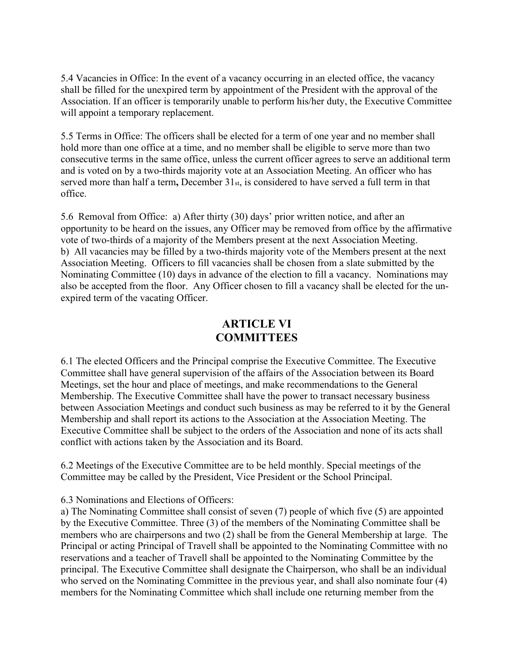5.4 Vacancies in Office: In the event of a vacancy occurring in an elected office, the vacancy shall be filled for the unexpired term by appointment of the President with the approval of the Association. If an officer is temporarily unable to perform his/her duty, the Executive Committee will appoint a temporary replacement.

5.5 Terms in Office: The officers shall be elected for a term of one year and no member shall hold more than one office at a time, and no member shall be eligible to serve more than two consecutive terms in the same office, unless the current officer agrees to serve an additional term and is voted on by a two-thirds majority vote at an Association Meeting. An officer who has served more than half a term**,** December 31st, is considered to have served a full term in that office.

5.6 Removal from Office: a) After thirty (30) days' prior written notice, and after an opportunity to be heard on the issues, any Officer may be removed from office by the affirmative vote of two-thirds of a majority of the Members present at the next Association Meeting. b) All vacancies may be filled by a two-thirds majority vote of the Members present at the next Association Meeting. Officers to fill vacancies shall be chosen from a slate submitted by the Nominating Committee (10) days in advance of the election to fill a vacancy. Nominations may also be accepted from the floor. Any Officer chosen to fill a vacancy shall be elected for the unexpired term of the vacating Officer.

## **ARTICLE VI COMMITTEES**

6.1 The elected Officers and the Principal comprise the Executive Committee. The Executive Committee shall have general supervision of the affairs of the Association between its Board Meetings, set the hour and place of meetings, and make recommendations to the General Membership. The Executive Committee shall have the power to transact necessary business between Association Meetings and conduct such business as may be referred to it by the General Membership and shall report its actions to the Association at the Association Meeting. The Executive Committee shall be subject to the orders of the Association and none of its acts shall conflict with actions taken by the Association and its Board.

6.2 Meetings of the Executive Committee are to be held monthly. Special meetings of the Committee may be called by the President, Vice President or the School Principal.

#### 6.3 Nominations and Elections of Officers:

a) The Nominating Committee shall consist of seven (7) people of which five (5) are appointed by the Executive Committee. Three (3) of the members of the Nominating Committee shall be members who are chairpersons and two (2) shall be from the General Membership at large. The Principal or acting Principal of Travell shall be appointed to the Nominating Committee with no reservations and a teacher of Travell shall be appointed to the Nominating Committee by the principal. The Executive Committee shall designate the Chairperson, who shall be an individual who served on the Nominating Committee in the previous year, and shall also nominate four (4) members for the Nominating Committee which shall include one returning member from the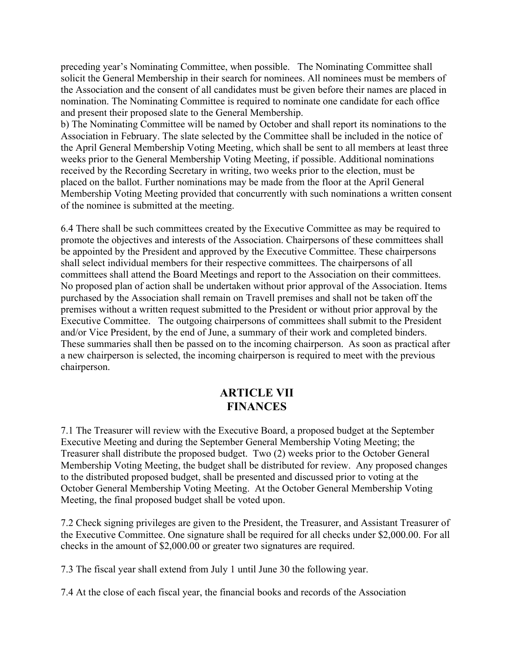preceding year's Nominating Committee, when possible. The Nominating Committee shall solicit the General Membership in their search for nominees. All nominees must be members of the Association and the consent of all candidates must be given before their names are placed in nomination. The Nominating Committee is required to nominate one candidate for each office and present their proposed slate to the General Membership.

b) The Nominating Committee will be named by October and shall report its nominations to the Association in February. The slate selected by the Committee shall be included in the notice of the April General Membership Voting Meeting, which shall be sent to all members at least three weeks prior to the General Membership Voting Meeting, if possible. Additional nominations received by the Recording Secretary in writing, two weeks prior to the election, must be placed on the ballot. Further nominations may be made from the floor at the April General Membership Voting Meeting provided that concurrently with such nominations a written consent of the nominee is submitted at the meeting.

6.4 There shall be such committees created by the Executive Committee as may be required to promote the objectives and interests of the Association. Chairpersons of these committees shall be appointed by the President and approved by the Executive Committee. These chairpersons shall select individual members for their respective committees. The chairpersons of all committees shall attend the Board Meetings and report to the Association on their committees. No proposed plan of action shall be undertaken without prior approval of the Association. Items purchased by the Association shall remain on Travell premises and shall not be taken off the premises without a written request submitted to the President or without prior approval by the Executive Committee. The outgoing chairpersons of committees shall submit to the President and/or Vice President, by the end of June, a summary of their work and completed binders. These summaries shall then be passed on to the incoming chairperson. As soon as practical after a new chairperson is selected, the incoming chairperson is required to meet with the previous chairperson.

#### **ARTICLE VII FINANCES**

7.1 The Treasurer will review with the Executive Board, a proposed budget at the September Executive Meeting and during the September General Membership Voting Meeting; the Treasurer shall distribute the proposed budget. Two (2) weeks prior to the October General Membership Voting Meeting, the budget shall be distributed for review. Any proposed changes to the distributed proposed budget, shall be presented and discussed prior to voting at the October General Membership Voting Meeting. At the October General Membership Voting Meeting, the final proposed budget shall be voted upon.

7.2 Check signing privileges are given to the President, the Treasurer, and Assistant Treasurer of the Executive Committee. One signature shall be required for all checks under \$2,000.00. For all checks in the amount of \$2,000.00 or greater two signatures are required.

7.3 The fiscal year shall extend from July 1 until June 30 the following year.

7.4 At the close of each fiscal year, the financial books and records of the Association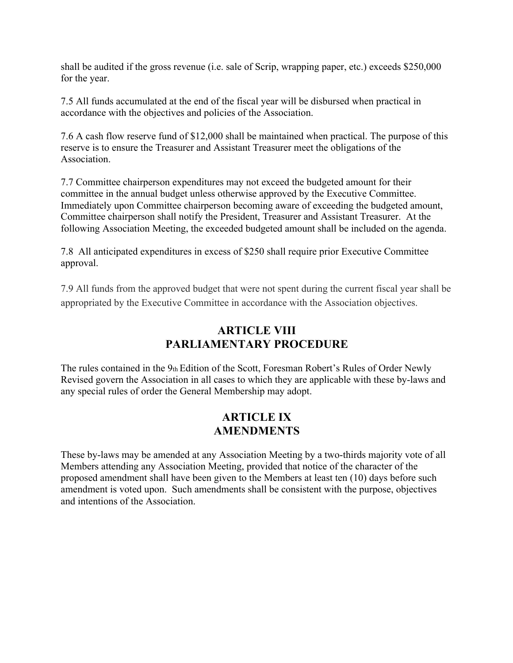shall be audited if the gross revenue (i.e. sale of Scrip, wrapping paper, etc.) exceeds \$250,000 for the year.

7.5 All funds accumulated at the end of the fiscal year will be disbursed when practical in accordance with the objectives and policies of the Association.

7.6 A cash flow reserve fund of \$12,000 shall be maintained when practical. The purpose of this reserve is to ensure the Treasurer and Assistant Treasurer meet the obligations of the Association.

7.7 Committee chairperson expenditures may not exceed the budgeted amount for their committee in the annual budget unless otherwise approved by the Executive Committee. Immediately upon Committee chairperson becoming aware of exceeding the budgeted amount, Committee chairperson shall notify the President, Treasurer and Assistant Treasurer. At the following Association Meeting, the exceeded budgeted amount shall be included on the agenda.

7.8 All anticipated expenditures in excess of \$250 shall require prior Executive Committee approval.

7.9 All funds from the approved budget that were not spent during the current fiscal year shall be appropriated by the Executive Committee in accordance with the Association objectives.

# **ARTICLE VIII PARLIAMENTARY PROCEDURE**

The rules contained in the 9th Edition of the Scott, Foresman Robert's Rules of Order Newly Revised govern the Association in all cases to which they are applicable with these by-laws and any special rules of order the General Membership may adopt.

### **ARTICLE IX AMENDMENTS**

These by-laws may be amended at any Association Meeting by a two-thirds majority vote of all Members attending any Association Meeting, provided that notice of the character of the proposed amendment shall have been given to the Members at least ten (10) days before such amendment is voted upon. Such amendments shall be consistent with the purpose, objectives and intentions of the Association.